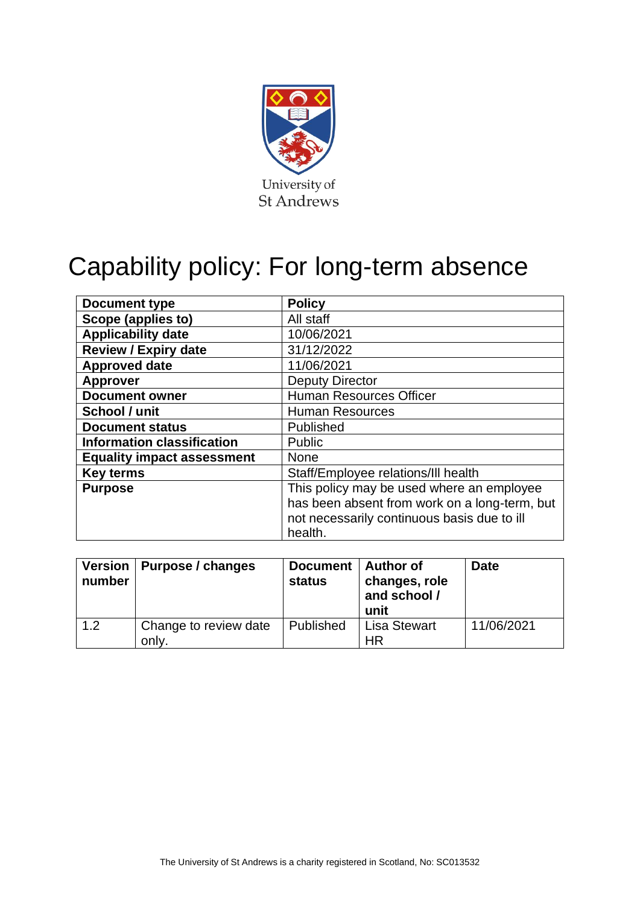

# Capability policy: For long-term absence

| Document type                     | <b>Policy</b>                                 |
|-----------------------------------|-----------------------------------------------|
| Scope (applies to)                | All staff                                     |
| <b>Applicability date</b>         | 10/06/2021                                    |
| <b>Review / Expiry date</b>       | 31/12/2022                                    |
| <b>Approved date</b>              | 11/06/2021                                    |
| <b>Approver</b>                   | <b>Deputy Director</b>                        |
| <b>Document owner</b>             | <b>Human Resources Officer</b>                |
| School / unit                     | <b>Human Resources</b>                        |
| <b>Document status</b>            | Published                                     |
| <b>Information classification</b> | <b>Public</b>                                 |
| <b>Equality impact assessment</b> | <b>None</b>                                   |
| <b>Key terms</b>                  | Staff/Employee relations/III health           |
| <b>Purpose</b>                    | This policy may be used where an employee     |
|                                   | has been absent from work on a long-term, but |
|                                   | not necessarily continuous basis due to ill   |
|                                   | health.                                       |

| number | Version   Purpose / changes    | Document   Author of<br><b>status</b> | changes, role<br>and school /<br>unit | <b>Date</b> |
|--------|--------------------------------|---------------------------------------|---------------------------------------|-------------|
| 1.2    | Change to review date<br>only. | Published                             | <b>Lisa Stewart</b><br>HR             | 11/06/2021  |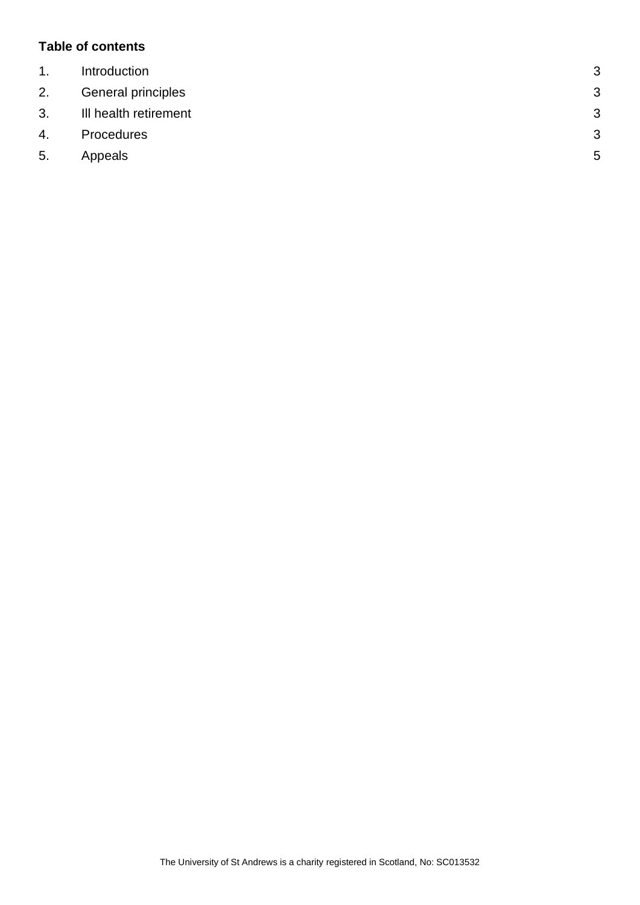## **Table of contents**

| $\mathbf{1}$ . | Introduction          | 3 |
|----------------|-----------------------|---|
| 2.             | General principles    | 3 |
| 3.             | III health retirement | 3 |
| 4.             | Procedures            | 3 |
| 5.             | Appeals               | 5 |
|                |                       |   |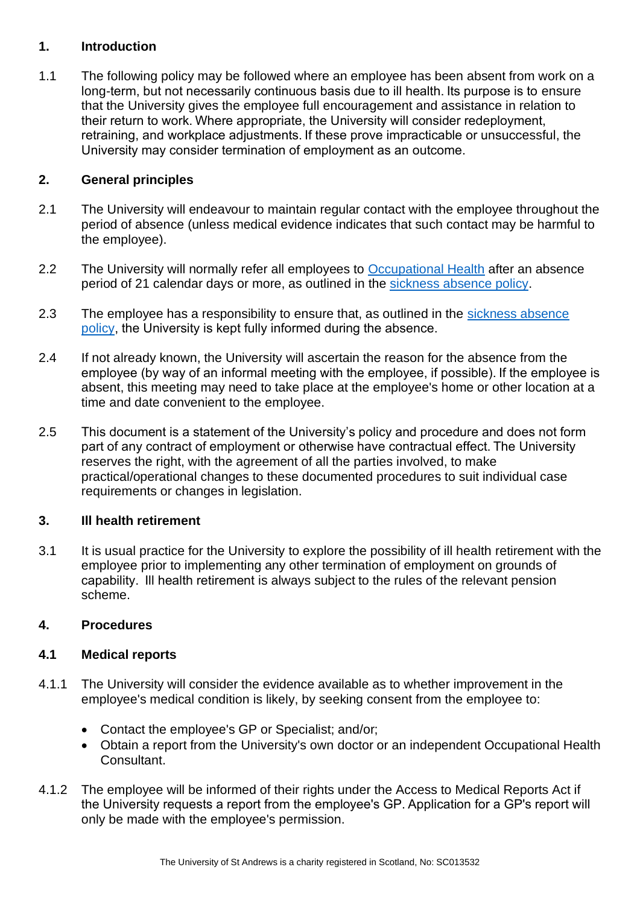## <span id="page-2-0"></span>**1. Introduction**

1.1 The following policy may be followed where an employee has been absent from work on a long-term, but not necessarily continuous basis due to ill health. Its purpose is to ensure that the University gives the employee full encouragement and assistance in relation to their return to work. Where appropriate, the University will consider redeployment, retraining, and workplace adjustments. If these prove impracticable or unsuccessful, the University may consider termination of employment as an outcome.  

## <span id="page-2-1"></span>**2. General principles**

- 2.1 The University will endeavour to maintain regular contact with the employee throughout the period of absence (unless medical evidence indicates that such contact may be harmful to the employee).
- 2.2 The University will normally refer all employees to [Occupational Health](https://www.st-andrews.ac.uk/ehss/occupationalhealth/) after an absence period of 21 calendar days or more, as outlined in the [sickness absence policy.](https://www.st-andrews.ac.uk/policy/staff-annual-leave-and-other-absence-ill-health/internal/sickness-absence-policy.pdf)
- 2.3 The employee has a responsibility to ensure that, as outlined in the sickness absence [policy,](https://www.st-andrews.ac.uk/policy/staff-annual-leave-and-other-absence-ill-health/internal/sickness-absence-policy.pdf) the University is kept fully informed during the absence.
- 2.4 If not already known, the University will ascertain the reason for the absence from the employee (by way of an informal meeting with the employee, if possible). If the employee is absent, this meeting may need to take place at the employee's home or other location at a time and date convenient to the employee.
- 2.5 This document is a statement of the University's policy and procedure and does not form part of any contract of employment or otherwise have contractual effect. The University reserves the right, with the agreement of all the parties involved, to make practical/operational changes to these documented procedures to suit individual case requirements or changes in legislation.

#### <span id="page-2-2"></span>**3. Ill health retirement**

3.1 It is usual practice for the University to explore the possibility of ill health retirement with the employee prior to implementing any other termination of employment on grounds of capability.  Ill health retirement is always subject to the rules of the relevant pension scheme.

#### <span id="page-2-3"></span>**4. Procedures**

#### **4.1 Medical reports**

- 4.1.1 The University will consider the evidence available as to whether improvement in the employee's medical condition is likely, by seeking consent from the employee to:
	- Contact the employee's GP or Specialist; and/or;
	- Obtain a report from the University's own doctor or an independent Occupational Health Consultant.
- 4.1.2 The employee will be informed of their rights under the Access to Medical Reports Act if the University requests a report from the employee's GP. Application for a GP's report will only be made with the employee's permission.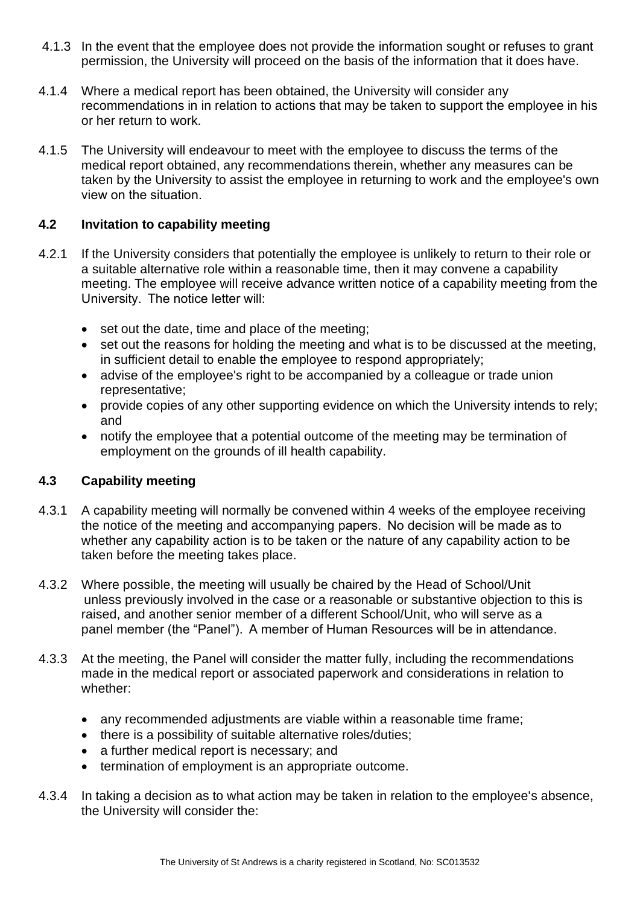- 4.1.3 In the event that the employee does not provide the information sought or refuses to grant permission, the University will proceed on the basis of the information that it does have.
- 4.1.4 Where a medical report has been obtained, the University will consider any recommendations in in relation to actions that may be taken to support the employee in his or her return to work.
- 4.1.5 The University will endeavour to meet with the employee to discuss the terms of the medical report obtained, any recommendations therein, whether any measures can be taken by the University to assist the employee in returning to work and the employee's own view on the situation.

# **4.2 Invitation to capability meeting**

- 4.2.1 If the University considers that potentially the employee is unlikely to return to their role or a suitable alternative role within a reasonable time, then it may convene a capability meeting. The employee will receive advance written notice of a capability meeting from the University. The notice letter will:
	- set out the date, time and place of the meeting;
	- set out the reasons for holding the meeting and what is to be discussed at the meeting, in sufficient detail to enable the employee to respond appropriately;
	- advise of the employee's right to be accompanied by a colleague or trade union representative;
	- provide copies of any other supporting evidence on which the University intends to rely; and
	- notify the employee that a potential outcome of the meeting may be termination of employment on the grounds of ill health capability.

# **4.3 Capability meeting**

- 4.3.1 A capability meeting will normally be convened within 4 weeks of the employee receiving the notice of the meeting and accompanying papers.  No decision will be made as to whether any capability action is to be taken or the nature of any capability action to be taken before the meeting takes place.
- 4.3.2 Where possible, the meeting will usually be chaired by the Head of School/Unit unless previously involved in the case or a reasonable or substantive objection to this is raised, and another senior member of a different School/Unit, who will serve as a panel member (the "Panel").  A member of Human Resources will be in attendance.
- 4.3.3 At the meeting, the Panel will consider the matter fully, including the recommendations made in the medical report or associated paperwork and considerations in relation to whether:
	- any recommended adjustments are viable within a reasonable time frame;
	- there is a possibility of suitable alternative roles/duties;
	- a further medical report is necessary; and
	- termination of employment is an appropriate outcome.
- 4.3.4 In taking a decision as to what action may be taken in relation to the employee's absence, the University will consider the: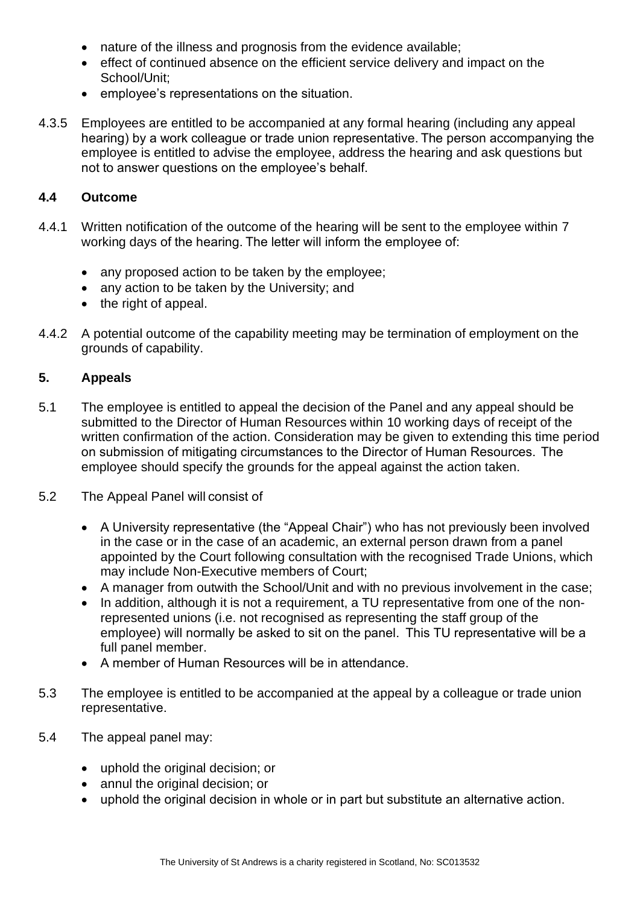- nature of the illness and prognosis from the evidence available;
- effect of continued absence on the efficient service delivery and impact on the School/Unit;
- employee's representations on the situation.
- 4.3.5 Employees are entitled to be accompanied at any formal hearing (including any appeal hearing) by a work colleague or trade union representative. The person accompanying the employee is entitled to advise the employee, address the hearing and ask questions but not to answer questions on the employee's behalf.

#### **4.4 Outcome**

- 4.4.1 Written notification of the outcome of the hearing will be sent to the employee within 7 working days of the hearing. The letter will inform the employee of:
	- any proposed action to be taken by the employee;
	- any action to be taken by the University; and
	- the right of appeal.
- 4.4.2 A potential outcome of the capability meeting may be termination of employment on the grounds of capability.

#### <span id="page-4-0"></span>**5. Appeals**

- 5.1 The employee is entitled to appeal the decision of the Panel and any appeal should be submitted to the Director of Human Resources within 10 working days of receipt of the written confirmation of the action. Consideration may be given to extending this time period on submission of mitigating circumstances to the Director of Human Resources.  The employee should specify the grounds for the appeal against the action taken.
- 5.2 The Appeal Panel will consist of
	- A University representative (the "Appeal Chair") who has not previously been involved in the case or in the case of an academic, an external person drawn from a panel appointed by the Court following consultation with the recognised Trade Unions, which may include Non-Executive members of Court;
	- A manager from outwith the School/Unit and with no previous involvement in the case;
	- In addition, although it is not a requirement, a TU representative from one of the nonrepresented unions (i.e. not recognised as representing the staff group of the employee) will normally be asked to sit on the panel.  This TU representative will be a full panel member.
	- A member of Human Resources will be in attendance.
- 5.3 The employee is entitled to be accompanied at the appeal by a colleague or trade union representative.
- 5.4 The appeal panel may:
	- uphold the original decision; or
	- annul the original decision; or
	- uphold the original decision in whole or in part but substitute an alternative action.